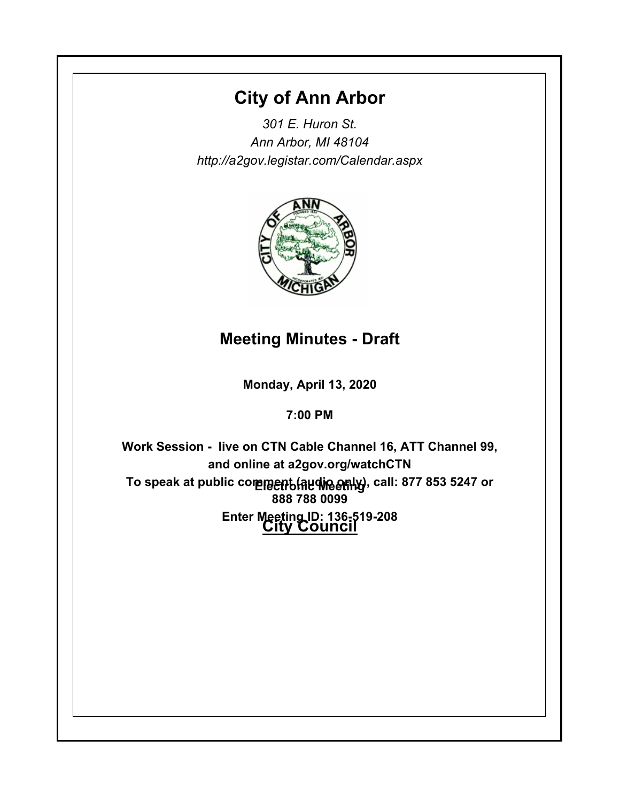# **City of Ann Arbor**

*301 E. Huron St. Ann Arbor, MI 48104 http://a2gov.legistar.com/Calendar.aspx*



# **Meeting Minutes - Draft**

**Monday, April 13, 2020**

**7:00 PM**

To speak at public comme<del>nt (Audine only)</del>, call: 877 853 5247 or **City Council Enter Meeting ID: 136-519-208Work Session - live on CTN Cable Channel 16, ATT Channel 99, and online at a2gov.org/watchCTN 888 788 0099**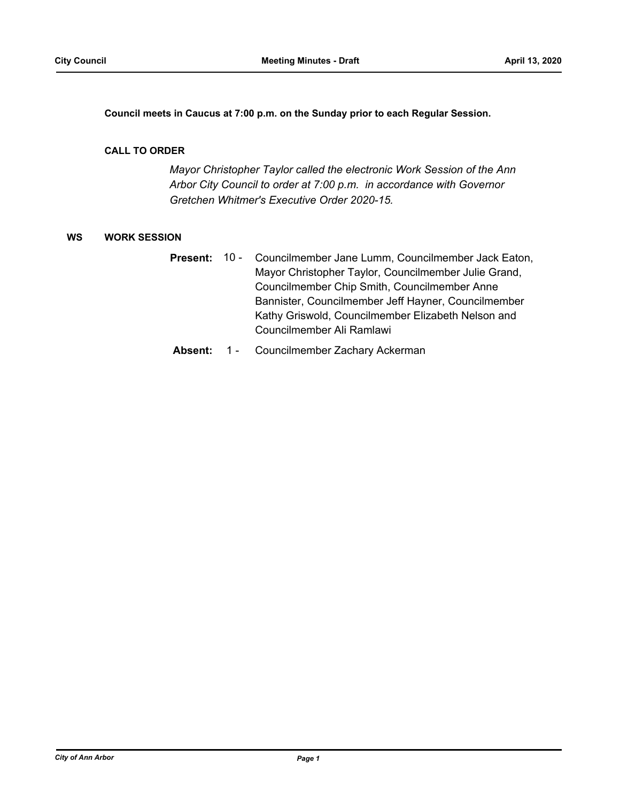**Council meets in Caucus at 7:00 p.m. on the Sunday prior to each Regular Session.**

#### **CALL TO ORDER**

*Mayor Christopher Taylor called the electronic Work Session of the Ann Arbor City Council to order at 7:00 p.m. in accordance with Governor Gretchen Whitmer's Executive Order 2020-15.*

## **WS WORK SESSION**

- Councilmember Jane Lumm, Councilmember Jack Eaton, Mayor Christopher Taylor, Councilmember Julie Grand, Councilmember Chip Smith, Councilmember Anne Bannister, Councilmember Jeff Hayner, Councilmember Kathy Griswold, Councilmember Elizabeth Nelson and Councilmember Ali Ramlawi **Present:** 10 -
- **Absent:** 1 Councilmember Zachary Ackerman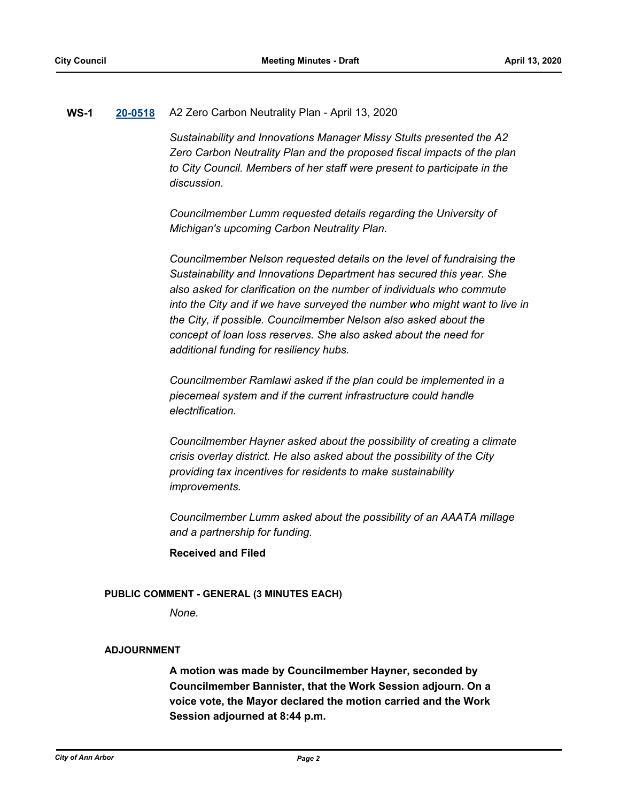## **WS-1 [20-0518](http://a2gov.legistar.com/gateway.aspx?M=L&ID=24548)** A2 Zero Carbon Neutrality Plan - April 13, 2020

*Sustainability and Innovations Manager Missy Stults presented the A2 Zero Carbon Neutrality Plan and the proposed fiscal impacts of the plan to City Council. Members of her staff were present to participate in the discussion.*

*Councilmember Lumm requested details regarding the University of Michigan's upcoming Carbon Neutrality Plan.* 

*Councilmember Nelson requested details on the level of fundraising the Sustainability and Innovations Department has secured this year. She also asked for clarification on the number of individuals who commute into the City and if we have surveyed the number who might want to live in the City, if possible. Councilmember Nelson also asked about the concept of loan loss reserves. She also asked about the need for additional funding for resiliency hubs.* 

*Councilmember Ramlawi asked if the plan could be implemented in a piecemeal system and if the current infrastructure could handle electrification.*

*Councilmember Hayner asked about the possibility of creating a climate crisis overlay district. He also asked about the possibility of the City providing tax incentives for residents to make sustainability improvements.* 

*Councilmember Lumm asked about the possibility of an AAATA millage and a partnership for funding.*

**Received and Filed**

#### **PUBLIC COMMENT - GENERAL (3 MINUTES EACH)**

*None.*

#### **ADJOURNMENT**

**A motion was made by Councilmember Hayner, seconded by Councilmember Bannister, that the Work Session adjourn. On a voice vote, the Mayor declared the motion carried and the Work Session adjourned at 8:44 p.m.**